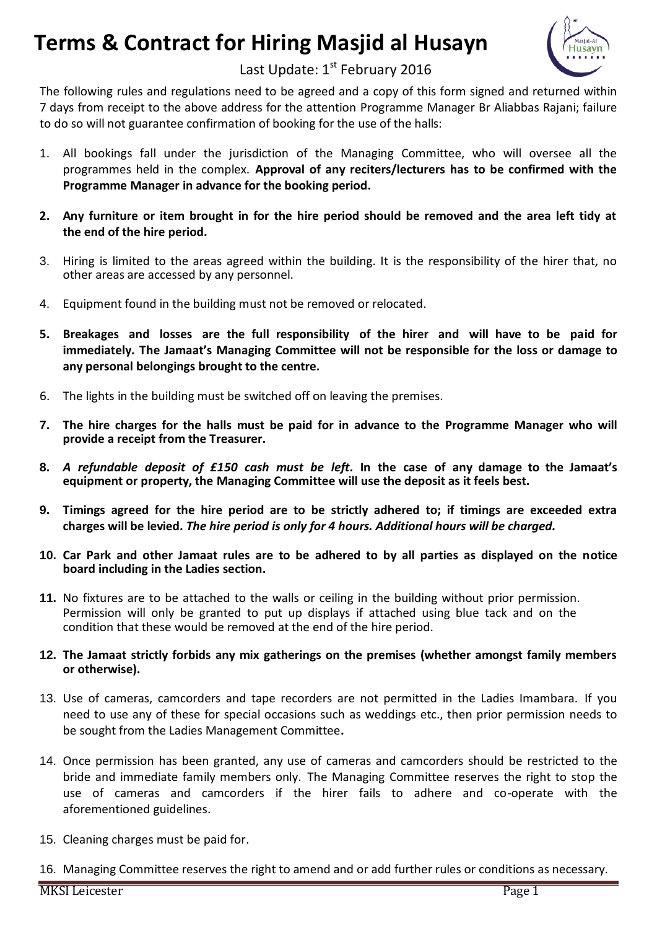## **Terms & Contract for Hiring Masjid al Husayn**



## Last Update: 1<sup>st</sup> February 2016

The following rules and regulations need to be agreed and a copy of this form signed and returned within 7 days from receipt to the above address for the attention Programme Manager Br Aliabbas Rajani; failure to do so will not guarantee confirmation of booking for the use of the halls:

- 1. All bookings fall under the jurisdiction of the Managing Committee, who will oversee all the programmes held in the complex. **Approval of any reciters/lecturers has to be confirmed with the Programme Manager in advance for the booking period.**
- 2. Any furniture or item brought in for the hire period should be removed and the area left tidy at **the end of the hire period.**
- 3. Hiring is limited to the areas agreed within the building. It is the responsibility of the hirer that, no other areas are accessed by any personnel.
- 4. Equipment found in the building must not be removed or relocated.
- **5. Breakages and losses are the full responsibility of the hirer and will have to be paid for immediately. The Jamaat's Managing Committee will not be responsible for the loss or damage to any personal belongings brought to the centre.**
- 6. The lights in the building must be switched off on leaving the premises.
- 7. The hire charges for the halls must be paid for in advance to the Programme Manager who will **provide a receipt from the Treasurer.**
- **8.** *A refundable deposit of £150 cash must be left***. In the case of any damage to the Jamaat's equipment or property, the Managing Committee will use the deposit as it feels best.**
- 9. Timings agreed for the hire period are to be strictly adhered to; if timings are exceeded extra **charges will be levied.** *The hire period is only for 4 hours. Additional hours will be charged.*
- 10. Car Park and other Jamaat rules are to be adhered to by all parties as displayed on the notice **board including in the Ladies section.**
- **11.** No fixtures are to be attached to the walls or ceiling in the building without prior permission. Permission will only be granted to put up displays if attached using blue tack and on the condition that these would be removed at the end of the hire period.
- **12. The Jamaat strictly forbids any mix gatherings on the premises (whether amongst family members or otherwise).**
- 13. Use of cameras, camcorders and tape recorders are not permitted in the Ladies Imambara. If you need to use any of these for special occasions such as weddings etc., then prior permission needs to be sought from the Ladies Management Committee**.**
- 14. Once permission has been granted, any use of cameras and camcorders should be restricted to the bride and immediate family members only. The Managing Committee reserves the right to stop the use of cameras and camcorders if the hirer fails to adhere and co-operate with the aforementioned guidelines.
- 15. Cleaning charges must be paid for.
- 16. Managing Committee reserves the right to amend and or add further rules or conditions as necessary.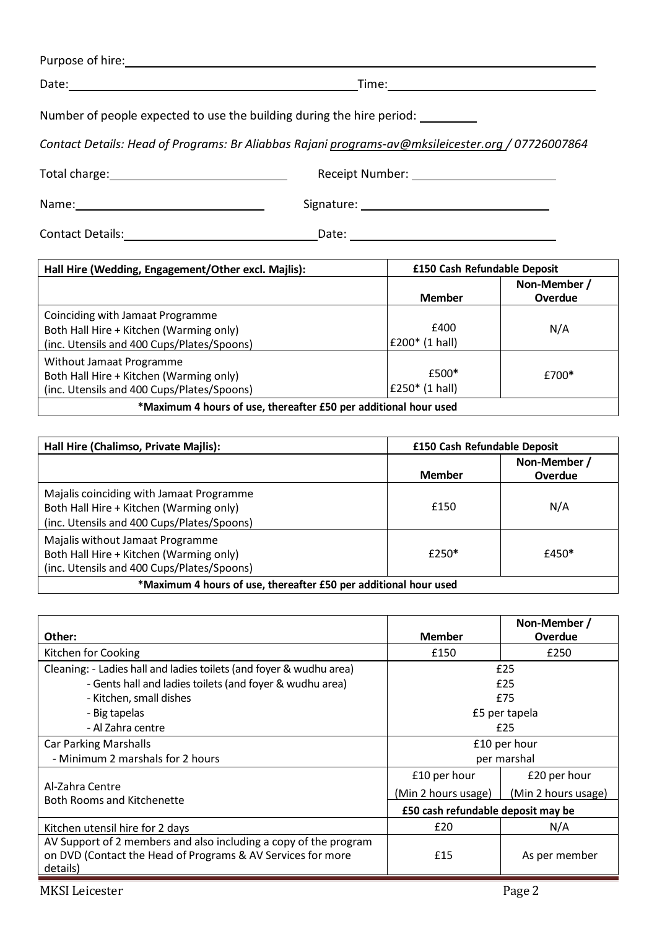| Purpose of hire: |  |  |  |
|------------------|--|--|--|
|                  |  |  |  |

Date: <u>National Communications of the Communications of the Time:</u> Time: National Communications of the Communications of the Communications of the Communications of the Communications of the Communications of the Communic

Number of people expected to use the building during the hire period:

*Contact Details: Head of Programs: Br Aliabbas Rajani [programs-av@mksileicester.org](mailto:programs-av@mksileicester.org) / 07726007864* 

Total charge: Receipt Number:

Name: Signature:

Contact Details: Date:

| Hall Hire (Wedding, Engagement/Other excl. Majlis):                                                                       | £150 Cash Refundable Deposit    |              |  |
|---------------------------------------------------------------------------------------------------------------------------|---------------------------------|--------------|--|
|                                                                                                                           |                                 | Non-Member / |  |
|                                                                                                                           | <b>Member</b>                   | Overdue      |  |
| Coinciding with Jamaat Programme<br>Both Hall Hire + Kitchen (Warming only)<br>(inc. Utensils and 400 Cups/Plates/Spoons) | £400<br>$£200*(1 \text{ hall})$ | N/A          |  |
| Without Jamaat Programme<br>Both Hall Hire + Kitchen (Warming only)<br>(inc. Utensils and 400 Cups/Plates/Spoons)         | £500*<br>£250 $*$ (1 hall)      | £700*        |  |
| *Maximum 4 hours of use, thereafter £50 per additional hour used                                                          |                                 |              |  |

| £150 Cash Refundable Deposit<br>Hall Hire (Chalimso, Private Majlis):                                                             |               |                         |  |
|-----------------------------------------------------------------------------------------------------------------------------------|---------------|-------------------------|--|
|                                                                                                                                   | <b>Member</b> | Non-Member /<br>Overdue |  |
| Majalis coinciding with Jamaat Programme<br>Both Hall Hire + Kitchen (Warming only)<br>(inc. Utensils and 400 Cups/Plates/Spoons) | £150          | N/A                     |  |
| Majalis without Jamaat Programme<br>Both Hall Hire + Kitchen (Warming only)<br>(inc. Utensils and 400 Cups/Plates/Spoons)         | £250*         | £450*                   |  |
| *Maximum 4 hours of use, thereafter £50 per additional hour used                                                                  |               |                         |  |

| Other:                                                                                                                                      | <b>Member</b>                      | Non-Member /<br>Overdue |
|---------------------------------------------------------------------------------------------------------------------------------------------|------------------------------------|-------------------------|
| Kitchen for Cooking                                                                                                                         | £150                               | £250                    |
|                                                                                                                                             |                                    |                         |
| Cleaning: - Ladies hall and ladies toilets (and foyer & wudhu area)                                                                         | £25                                |                         |
| - Gents hall and ladies toilets (and foyer & wudhu area)                                                                                    | £25                                |                         |
| - Kitchen, small dishes                                                                                                                     | £75                                |                         |
| - Big tapelas                                                                                                                               | £5 per tapela                      |                         |
| - Al Zahra centre                                                                                                                           | £25                                |                         |
| <b>Car Parking Marshalls</b>                                                                                                                | £10 per hour                       |                         |
| - Minimum 2 marshals for 2 hours                                                                                                            | per marshal                        |                         |
|                                                                                                                                             | £10 per hour                       | £20 per hour            |
| Al-Zahra Centre<br><b>Both Rooms and Kitchenette</b>                                                                                        | (Min 2 hours usage)                | (Min 2 hours usage)     |
|                                                                                                                                             | £50 cash refundable deposit may be |                         |
| Kitchen utensil hire for 2 days                                                                                                             | £20                                | N/A                     |
| AV Support of 2 members and also including a copy of the program<br>on DVD (Contact the Head of Programs & AV Services for more<br>details) | £15                                | As per member           |